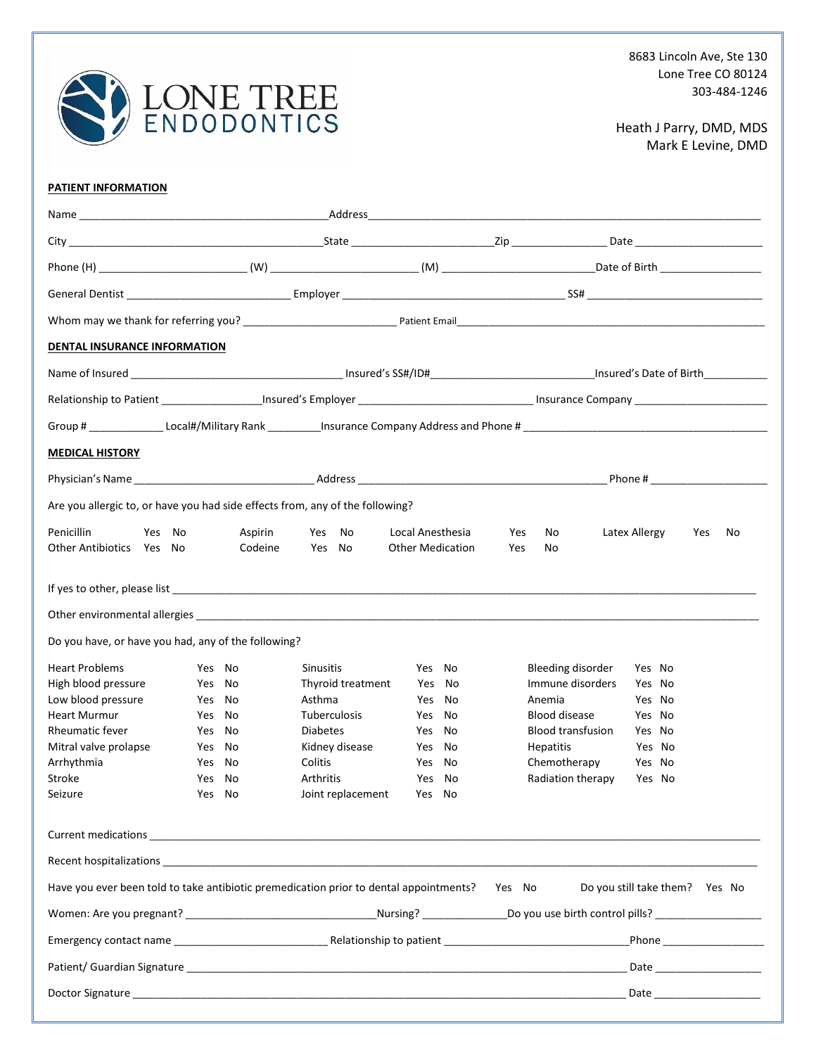

## Heath J Parry, DMD, MDS Mark E Levine, DMD

## **PATIENT INFORMATION**

|                                                                                               |        |                    |                     | General Dentist <b>Example 2018</b> Employer <b>Contract Contract Contract Contract Contract Contract Contract Contract Contract Contract Contract Contract Contract Contract Contract Contract Contract Contract Contract Contract C</b> |                          |                                |
|-----------------------------------------------------------------------------------------------|--------|--------------------|---------------------|-------------------------------------------------------------------------------------------------------------------------------------------------------------------------------------------------------------------------------------------|--------------------------|--------------------------------|
|                                                                                               |        |                    |                     |                                                                                                                                                                                                                                           |                          |                                |
| DENTAL INSURANCE INFORMATION                                                                  |        |                    |                     |                                                                                                                                                                                                                                           |                          |                                |
|                                                                                               |        |                    |                     |                                                                                                                                                                                                                                           |                          |                                |
|                                                                                               |        |                    |                     |                                                                                                                                                                                                                                           |                          |                                |
|                                                                                               |        |                    |                     |                                                                                                                                                                                                                                           |                          |                                |
| <b>MEDICAL HISTORY</b>                                                                        |        |                    |                     |                                                                                                                                                                                                                                           |                          |                                |
|                                                                                               |        |                    |                     |                                                                                                                                                                                                                                           |                          | Phone #                        |
|                                                                                               |        |                    |                     |                                                                                                                                                                                                                                           |                          |                                |
| Are you allergic to, or have you had side effects from, any of the following?                 |        |                    |                     |                                                                                                                                                                                                                                           |                          |                                |
| Penicillin<br>Yes No<br>Other Antibiotics Yes No                                              |        | Aspirin<br>Codeine | Yes<br>No<br>Yes No | Local Anesthesia<br><b>Other Medication</b>                                                                                                                                                                                               | Yes<br>No<br>Yes<br>No   | Latex Allergy<br>Yes<br>No     |
|                                                                                               |        |                    |                     |                                                                                                                                                                                                                                           |                          |                                |
|                                                                                               |        |                    |                     |                                                                                                                                                                                                                                           |                          |                                |
|                                                                                               |        |                    |                     |                                                                                                                                                                                                                                           |                          |                                |
| Do you have, or have you had, any of the following?                                           |        |                    |                     |                                                                                                                                                                                                                                           |                          |                                |
| <b>Heart Problems</b>                                                                         | Yes No |                    | <b>Sinusitis</b>    | Yes No                                                                                                                                                                                                                                    | <b>Bleeding disorder</b> | Yes No                         |
| High blood pressure                                                                           | Yes No |                    | Thyroid treatment   | Yes No                                                                                                                                                                                                                                    | Immune disorders         | Yes No                         |
| Low blood pressure                                                                            | Yes No |                    | Asthma              | Yes No                                                                                                                                                                                                                                    | Anemia                   | Yes No                         |
| <b>Heart Murmur</b>                                                                           | Yes No |                    | <b>Tuberculosis</b> | Yes No                                                                                                                                                                                                                                    | Blood disease            | Yes No                         |
| <b>Rheumatic fever</b>                                                                        | Yes No |                    | <b>Diabetes</b>     | Yes No                                                                                                                                                                                                                                    | <b>Blood transfusion</b> | Yes No                         |
| Mitral valve prolapse                                                                         | Yes No |                    | Kidney disease      | Yes No                                                                                                                                                                                                                                    | Hepatitis                | Yes No                         |
| Arrhythmia                                                                                    | Yes No |                    | Colitis             | Yes No                                                                                                                                                                                                                                    | Chemotherapy             | Yes No                         |
| Stroke                                                                                        | Yes No |                    | <b>Arthritis</b>    | Yes No                                                                                                                                                                                                                                    | Radiation therapy        | Yes No                         |
| Seizure                                                                                       | Yes No |                    | Joint replacement   | Yes No                                                                                                                                                                                                                                    |                          |                                |
|                                                                                               |        |                    |                     |                                                                                                                                                                                                                                           |                          |                                |
|                                                                                               |        |                    |                     |                                                                                                                                                                                                                                           |                          |                                |
| Have you ever been told to take antibiotic premedication prior to dental appointments? Yes No |        |                    |                     |                                                                                                                                                                                                                                           |                          | Do you still take them? Yes No |
|                                                                                               |        |                    |                     |                                                                                                                                                                                                                                           |                          |                                |
|                                                                                               |        |                    |                     |                                                                                                                                                                                                                                           |                          |                                |
|                                                                                               |        |                    |                     |                                                                                                                                                                                                                                           |                          |                                |
|                                                                                               |        |                    |                     |                                                                                                                                                                                                                                           |                          |                                |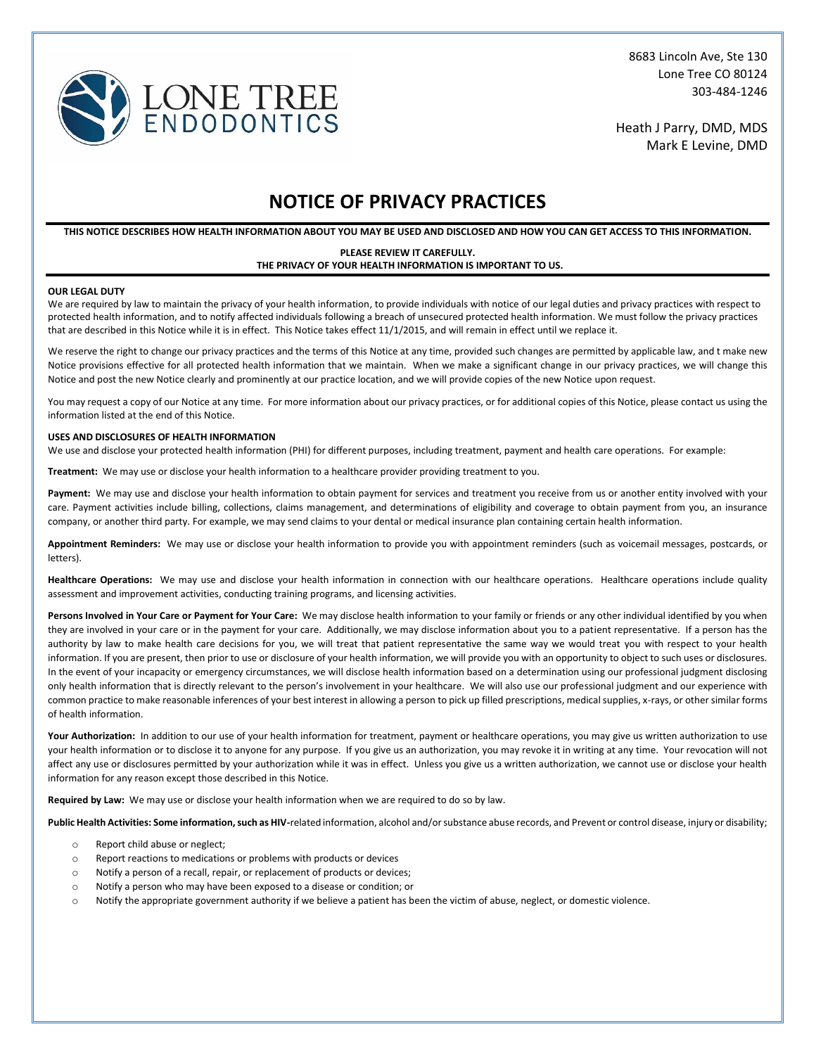

8683 Lincoln Ave, Ste 130 Lone Tree CO 80124 303-484-1246

Heath J Parry, DMD, MDS Mark E Levine, DMD

# **NOTICE OF PRIVACY PRACTICES**

**THIS NOTICE DESCRIBES HOW HEALTH INFORMATION ABOUT YOU MAY BE USED AND DISCLOSED AND HOW YOU CAN GET ACCESS TO THIS INFORMATION.**

#### **PLEASE REVIEW IT CAREFULLY. THE PRIVACY OF YOUR HEALTH INFORMATION IS IMPORTANT TO US.**

#### **OUR LEGAL DUTY**

We are required by law to maintain the privacy of your health information, to provide individuals with notice of our legal duties and privacy practices with respect to protected health information, and to notify affected individuals following a breach of unsecured protected health information. We must follow the privacy practices that are described in this Notice while it is in effect. This Notice takes effect 11/1/2015, and will remain in effect until we replace it.

We reserve the right to change our privacy practices and the terms of this Notice at any time, provided such changes are permitted by applicable law, and t make new Notice provisions effective for all protected health information that we maintain. When we make a significant change in our privacy practices, we will change this Notice and post the new Notice clearly and prominently at our practice location, and we will provide copies of the new Notice upon request.

You may request a copy of our Notice at any time. For more information about our privacy practices, or for additional copies of this Notice, please contact us using the information listed at the end of this Notice.

#### **USES AND DISCLOSURES OF HEALTH INFORMATION**

We use and disclose your protected health information (PHI) for different purposes, including treatment, payment and health care operations. For example:

**Treatment:** We may use or disclose your health information to a healthcare provider providing treatment to you.

**Payment:** We may use and disclose your health information to obtain payment for services and treatment you receive from us or another entity involved with your care. Payment activities include billing, collections, claims management, and determinations of eligibility and coverage to obtain payment from you, an insurance company, or another third party. For example, we may send claims to your dental or medical insurance plan containing certain health information.

**Appointment Reminders:** We may use or disclose your health information to provide you with appointment reminders (such as voicemail messages, postcards, or letters).

Healthcare Operations: We may use and disclose your health information in connection with our healthcare operations. Healthcare operations include quality assessment and improvement activities, conducting training programs, and licensing activities.

Persons Involved in Your Care or Payment for Your Care: We may disclose health information to your family or friends or any other individual identified by you when they are involved in your care or in the payment for your care. Additionally, we may disclose information about you to a patient representative. If a person has the authority by law to make health care decisions for you, we will treat that patient representative the same way we would treat you with respect to your health information. If you are present, then prior to use or disclosure of your health information, we will provide you with an opportunity to object to such uses or disclosures. In the event of your incapacity or emergency circumstances, we will disclose health information based on a determination using our professional judgment disclosing only health information that is directly relevant to the person's involvement in your healthcare. We will also use our professional judgment and our experience with common practice to make reasonable inferences of your best interest in allowing a person to pick up filled prescriptions, medical supplies, x-rays, or other similar forms of health information.

Your Authorization: In addition to our use of your health information for treatment, payment or healthcare operations, you may give us written authorization to use your health information or to disclose it to anyone for any purpose. If you give us an authorization, you may revoke it in writing at any time. Your revocation will not affect any use or disclosures permitted by your authorization while it was in effect. Unless you give us a written authorization, we cannot use or disclose your health information for any reason except those described in this Notice.

**Required by Law:** We may use or disclose your health information when we are required to do so by law.

**Public Health Activities: Some information, such as HIV-**related information, alcohol and/or substance abuse records, and Prevent or control disease, injury or disability;

- o Report child abuse or neglect;
- o Report reactions to medications or problems with products or devices
- o Notify a person of a recall, repair, or replacement of products or devices;
- o Notify a person who may have been exposed to a disease or condition; or
- o Notify the appropriate government authority if we believe a patient has been the victim of abuse, neglect, or domestic violence.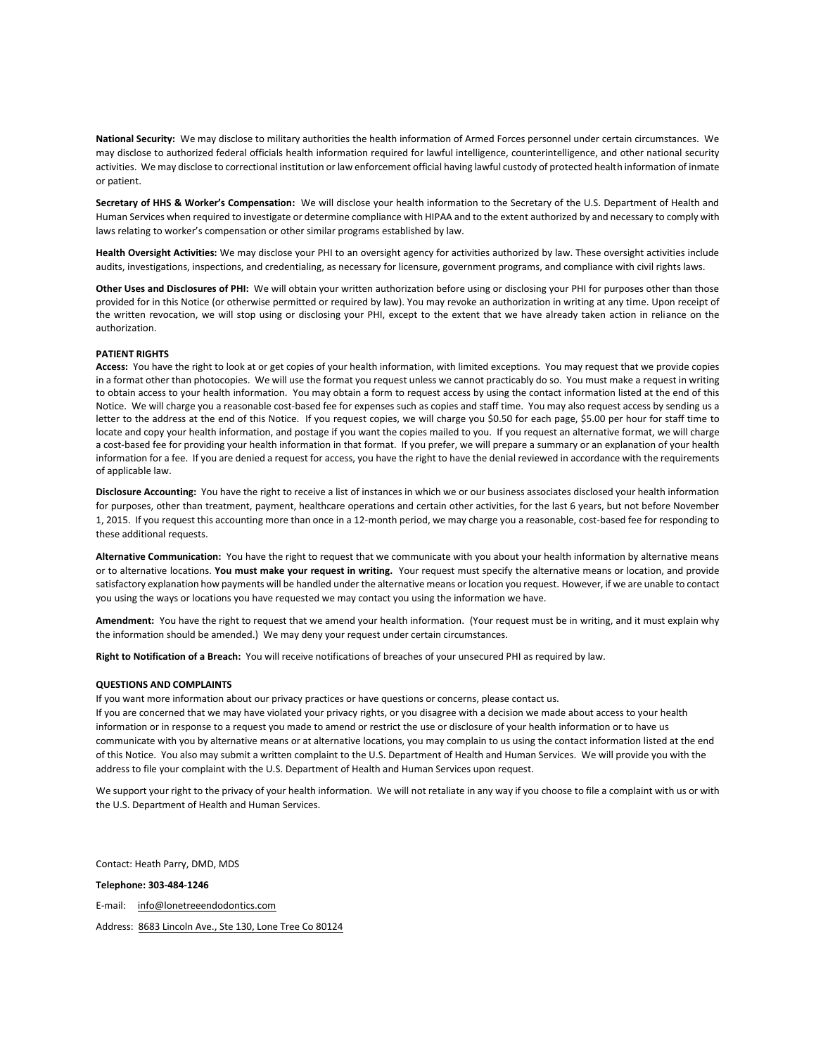**National Security:** We may disclose to military authorities the health information of Armed Forces personnel under certain circumstances. We may disclose to authorized federal officials health information required for lawful intelligence, counterintelligence, and other national security activities. We may disclose to correctional institution or law enforcement official having lawful custody of protected health information of inmate or patient.

**Secretary of HHS & Worker's Compensation:** We will disclose your health information to the Secretary of the U.S. Department of Health and Human Services when required to investigate or determine compliance with HIPAA and to the extent authorized by and necessary to comply with laws relating to worker's compensation or other similar programs established by law.

**Health Oversight Activities:** We may disclose your PHI to an oversight agency for activities authorized by law. These oversight activities include audits, investigations, inspections, and credentialing, as necessary for licensure, government programs, and compliance with civil rights laws.

**Other Uses and Disclosures of PHI:** We will obtain your written authorization before using or disclosing your PHI for purposes other than those provided for in this Notice (or otherwise permitted or required by law). You may revoke an authorization in writing at any time. Upon receipt of the written revocation, we will stop using or disclosing your PHI, except to the extent that we have already taken action in reliance on the authorization.

#### **PATIENT RIGHTS**

**Access:** You have the right to look at or get copies of your health information, with limited exceptions. You may request that we provide copies in a format other than photocopies. We will use the format you request unless we cannot practicably do so. You must make a request in writing to obtain access to your health information. You may obtain a form to request access by using the contact information listed at the end of this Notice. We will charge you a reasonable cost-based fee for expenses such as copies and staff time. You may also request access by sending us a letter to the address at the end of this Notice. If you request copies, we will charge you \$0.50 for each page, \$5.00 per hour for staff time to locate and copy your health information, and postage if you want the copies mailed to you. If you request an alternative format, we will charge a cost-based fee for providing your health information in that format. If you prefer, we will prepare a summary or an explanation of your health information for a fee. If you are denied a request for access, you have the right to have the denial reviewed in accordance with the requirements of applicable law.

**Disclosure Accounting:** You have the right to receive a list of instances in which we or our business associates disclosed your health information for purposes, other than treatment, payment, healthcare operations and certain other activities, for the last 6 years, but not before November 1, 2015.If you request this accounting more than once in a 12-month period, we may charge you a reasonable, cost-based fee for responding to these additional requests.

**Alternative Communication:** You have the right to request that we communicate with you about your health information by alternative means or to alternative locations. **You must make your request in writing.** Your request must specify the alternative means or location, and provide satisfactory explanation how payments will be handled under the alternative means or location you request. However, if we are unable to contact you using the ways or locations you have requested we may contact you using the information we have.

**Amendment:** You have the right to request that we amend your health information. (Your request must be in writing, and it must explain why the information should be amended.) We may deny your request under certain circumstances.

**Right to Notification of a Breach:** You will receive notifications of breaches of your unsecured PHI as required by law.

#### **QUESTIONS AND COMPLAINTS**

If you want more information about our privacy practices or have questions or concerns, please contact us.

If you are concerned that we may have violated your privacy rights, or you disagree with a decision we made about access to your health information or in response to a request you made to amend or restrict the use or disclosure of your health information or to have us communicate with you by alternative means or at alternative locations, you may complain to us using the contact information listed at the end of this Notice. You also may submit a written complaint to the U.S. Department of Health and Human Services. We will provide you with the address to file your complaint with the U.S. Department of Health and Human Services upon request.

We support your right to the privacy of your health information. We will not retaliate in any way if you choose to file a complaint with us or with the U.S. Department of Health and Human Services.

Contact: Heath Parry, DMD, MDS

**Telephone: 303-484-1246**

E-mail: info@lonetreeendodontics.com

Address: 8683 Lincoln Ave., Ste 130, Lone Tree Co 80124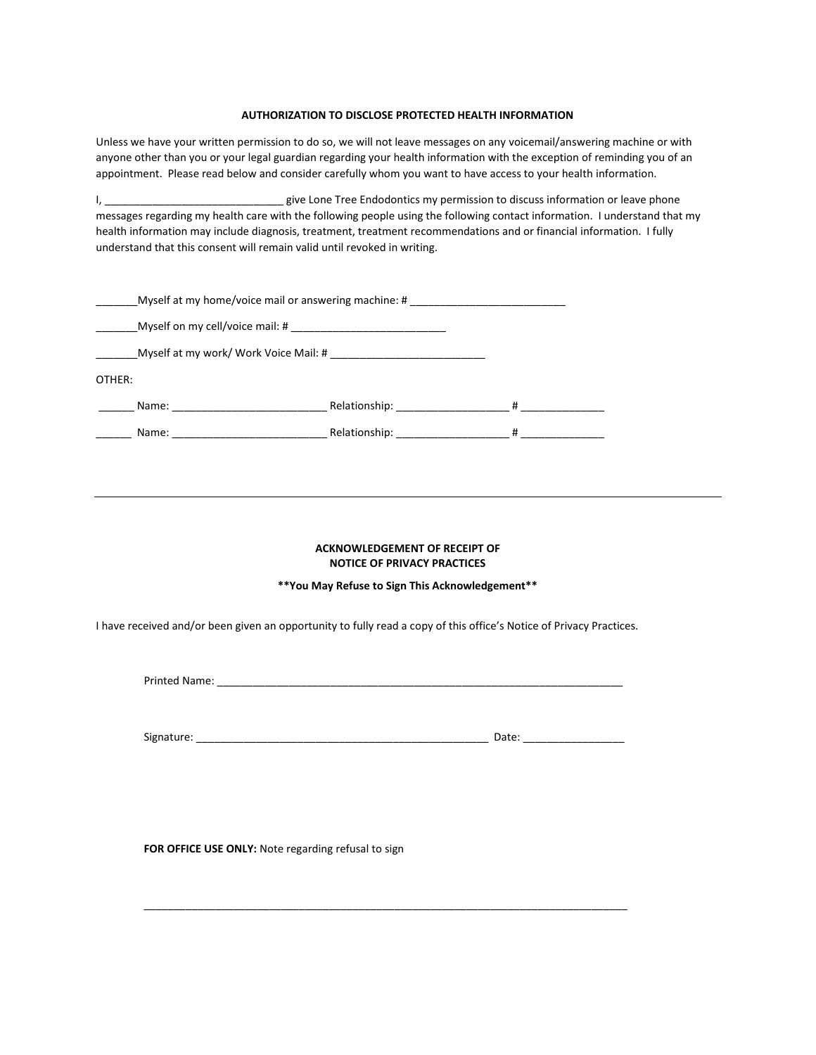### **AUTHORIZATION TO DISCLOSE PROTECTED HEALTH INFORMATION**

Unless we have your written permission to do so, we will not leave messages on any voicemail/answering machine or with anyone other than you or your legal guardian regarding your health information with the exception of reminding you of an appointment. Please read below and consider carefully whom you want to have access to your health information.

I, \_\_\_\_\_\_\_\_\_\_\_\_\_\_\_\_\_\_\_\_\_\_\_\_\_\_\_\_\_\_\_\_\_\_\_ give Lone Tree Endodontics my permission to discuss information or leave phone messages regarding my health care with the following people using the following contact information. I understand that my health information may include diagnosis, treatment, treatment recommendations and or financial information. I fully understand that this consent will remain valid until revoked in writing.

|                                                                                                                               | Myself at my home/voice mail or answering machine: #                                                             | <u> 1989 - Jan Samuel Barbara, margaret e populazion del proprieta del proprieta del proprieta del proprieta del </u> |
|-------------------------------------------------------------------------------------------------------------------------------|------------------------------------------------------------------------------------------------------------------|-----------------------------------------------------------------------------------------------------------------------|
|                                                                                                                               |                                                                                                                  |                                                                                                                       |
| Myself at my work/ Work Voice Mail: #                                                                                         |                                                                                                                  |                                                                                                                       |
| OTHER:                                                                                                                        |                                                                                                                  |                                                                                                                       |
| Name:<br><u> Alexandria de la contrada de la contrada de la contrada de la contrada de la contrada de la contrada de la c</u> | Relationship: The state of the state of the state of the state of the state of the state of the state of the s   | #                                                                                                                     |
| Name:                                                                                                                         | Relationship: example and the set of the set of the set of the set of the set of the set of the set of the set o | #                                                                                                                     |

### **ACKNOWLEDGEMENT OF RECEIPT OF NOTICE OF PRIVACY PRACTICES**

## **\*\*You May Refuse to Sign This Acknowledgement\*\***

I have received and/or been given an opportunity to fully read a copy of this office's Notice of Privacy Practices.

Printed Name: \_\_\_\_\_\_\_\_\_\_\_\_\_\_\_\_\_\_\_\_\_\_\_\_\_\_\_\_\_\_\_\_\_\_\_\_\_\_\_\_\_\_\_\_\_\_\_\_\_\_\_\_\_\_\_\_\_\_\_\_\_\_\_\_\_\_\_\_

\_\_\_\_\_\_\_\_\_\_\_\_\_\_\_\_\_\_\_\_\_\_\_\_\_\_\_\_\_\_\_\_\_\_\_\_\_\_\_\_\_\_\_\_\_\_\_\_\_\_\_\_\_\_\_\_\_\_\_\_\_\_\_\_\_\_\_\_\_\_\_\_\_\_\_\_\_\_\_\_\_

**FOR OFFICE USE ONLY:** Note regarding refusal to sign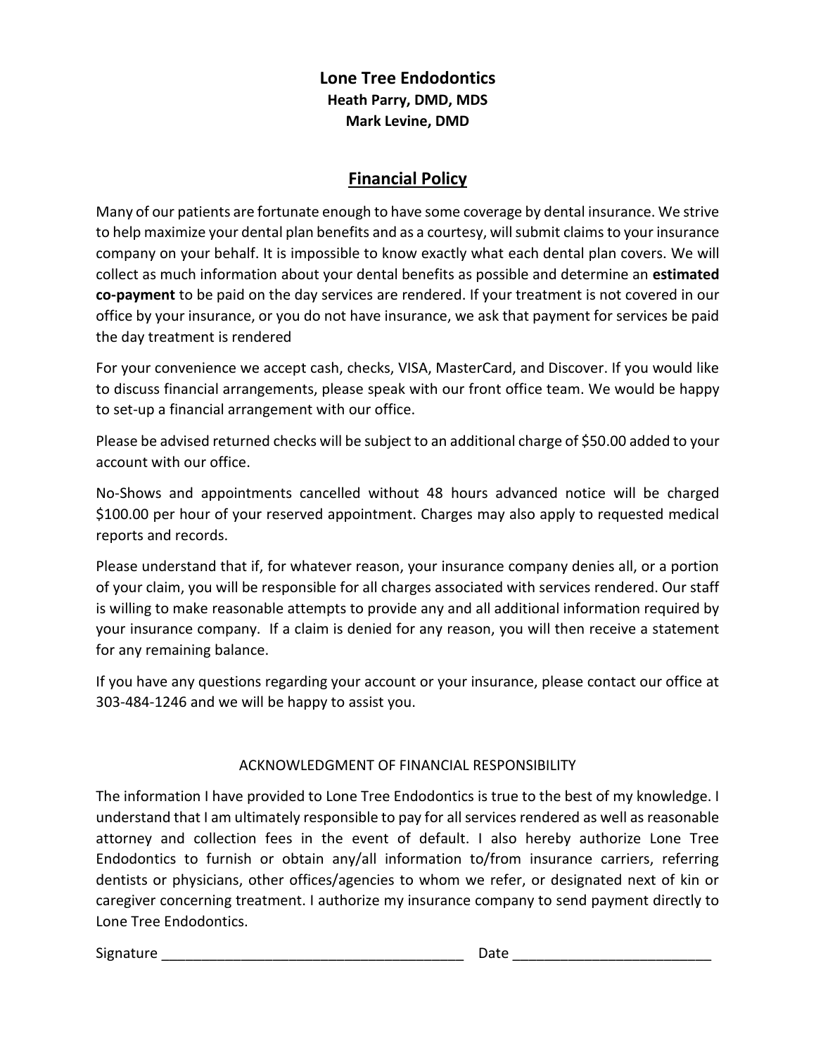## **Lone Tree Endodontics Heath Parry, DMD, MDS Mark Levine, DMD**

## **Financial Policy**

Many of our patients are fortunate enough to have some coverage by dental insurance. We strive to help maximize your dental plan benefits and as a courtesy, will submit claimsto your insurance company on your behalf. It is impossible to know exactly what each dental plan covers. We will collect as much information about your dental benefits as possible and determine an **estimated co-payment** to be paid on the day services are rendered. If your treatment is not covered in our office by your insurance, or you do not have insurance, we ask that payment for services be paid the day treatment is rendered

For your convenience we accept cash, checks, VISA, MasterCard, and Discover. If you would like to discuss financial arrangements, please speak with our front office team. We would be happy to set-up a financial arrangement with our office.

Please be advised returned checks will be subject to an additional charge of \$50.00 added to your account with our office.

No-Shows and appointments cancelled without 48 hours advanced notice will be charged \$100.00 per hour of your reserved appointment. Charges may also apply to requested medical reports and records.

Please understand that if, for whatever reason, your insurance company denies all, or a portion of your claim, you will be responsible for all charges associated with services rendered. Our staff is willing to make reasonable attempts to provide any and all additional information required by your insurance company. If a claim is denied for any reason, you will then receive a statement for any remaining balance.

If you have any questions regarding your account or your insurance, please contact our office at 303-484-1246 and we will be happy to assist you.

## ACKNOWLEDGMENT OF FINANCIAL RESPONSIBILITY

The information I have provided to Lone Tree Endodontics is true to the best of my knowledge. I understand that I am ultimately responsible to pay for all services rendered as well as reasonable attorney and collection fees in the event of default. I also hereby authorize Lone Tree Endodontics to furnish or obtain any/all information to/from insurance carriers, referring dentists or physicians, other offices/agencies to whom we refer, or designated next of kin or caregiver concerning treatment. I authorize my insurance company to send payment directly to Lone Tree Endodontics.

Signature \_\_\_\_\_\_\_\_\_\_\_\_\_\_\_\_\_\_\_\_\_\_\_\_\_\_\_\_\_\_\_\_\_\_\_\_\_\_ Date \_\_\_\_\_\_\_\_\_\_\_\_\_\_\_\_\_\_\_\_\_\_\_\_\_